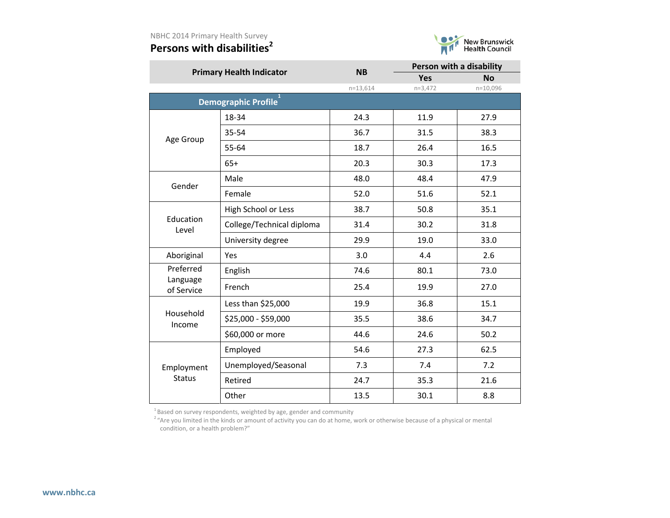### **Persons with disabilities<sup>2</sup>**



| <b>Primary Health Indicator</b> |                           | <b>NB</b>  | Person with a disability |            |  |
|---------------------------------|---------------------------|------------|--------------------------|------------|--|
|                                 |                           |            | <b>Yes</b>               | <b>No</b>  |  |
|                                 |                           | $n=13,614$ | $n=3,472$                | $n=10,096$ |  |
|                                 | Demographic Profile       |            |                          |            |  |
|                                 | 18-34                     | 24.3       | 11.9                     | 27.9       |  |
| Age Group                       | 35-54                     | 36.7       | 31.5                     | 38.3       |  |
|                                 | 55-64                     | 18.7       | 26.4                     | 16.5       |  |
|                                 | $65+$                     | 20.3       | 30.3                     | 17.3       |  |
| Gender                          | Male                      | 48.0       | 48.4                     | 47.9       |  |
|                                 | Female                    | 52.0       | 51.6                     | 52.1       |  |
|                                 | High School or Less       | 38.7       | 50.8                     | 35.1       |  |
| Education<br>Level              | College/Technical diploma | 31.4       | 30.2                     | 31.8       |  |
|                                 | University degree         | 29.9       | 19.0                     | 33.0       |  |
| Aboriginal                      | Yes                       | 3.0        | 4.4                      | 2.6        |  |
| Preferred                       | English                   | 74.6       | 80.1                     | 73.0       |  |
| Language<br>of Service          | French                    | 25.4       | 19.9                     | 27.0       |  |
|                                 | Less than \$25,000        | 19.9       | 36.8                     | 15.1       |  |
| Household<br>Income             | \$25,000 - \$59,000       | 35.5       | 38.6                     | 34.7       |  |
|                                 | \$60,000 or more          | 44.6       | 24.6                     | 50.2       |  |
|                                 | Employed                  | 54.6       | 27.3                     | 62.5       |  |
| Employment                      | Unemployed/Seasonal       | 7.3        | 7.4                      | 7.2        |  |
| <b>Status</b>                   | Retired                   | 24.7       | 35.3                     | 21.6       |  |
|                                 | Other                     | 13.5       | 30.1                     | 8.8        |  |

 $^{1}$ Based on survey respondents, weighted by age, gender and community

<sup>2</sup> "Are you limited in the kinds or amount of activity you can do at home, work or otherwise because of a physical or mental condition, or a health problem?"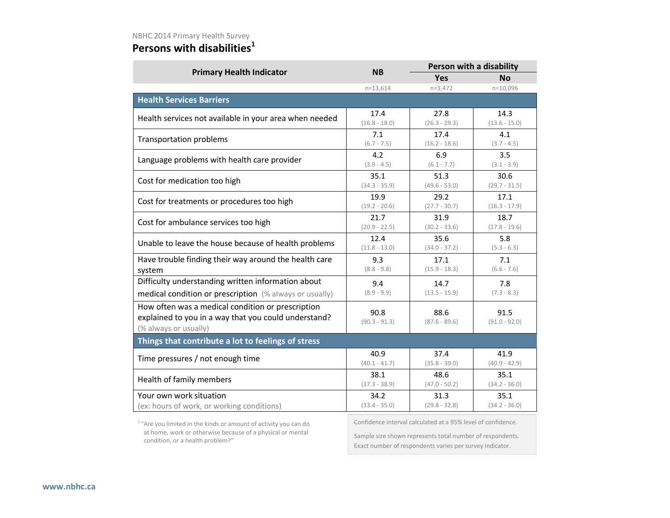### **Persons with disabilities<sup>1</sup>**

|                                                                                                                                          | <b>NB</b>               |                                                              | Person with a disability |  |  |
|------------------------------------------------------------------------------------------------------------------------------------------|-------------------------|--------------------------------------------------------------|--------------------------|--|--|
| <b>Primary Health Indicator</b>                                                                                                          |                         | <b>Yes</b>                                                   | <b>No</b>                |  |  |
|                                                                                                                                          | $n=13,614$              | $n=3,472$                                                    | $n=10,096$               |  |  |
| <b>Health Services Barriers</b>                                                                                                          |                         |                                                              |                          |  |  |
| Health services not available in your area when needed                                                                                   | 17.4                    | 27.8                                                         | 14.3                     |  |  |
|                                                                                                                                          | $(16.8 - 18.0)$         | $(26.3 - 29.3)$                                              | $(13.6 - 15.0)$          |  |  |
| <b>Transportation problems</b>                                                                                                           | 7.1                     | 17.4                                                         | 4.1                      |  |  |
|                                                                                                                                          | $(6.7 - 7.5)$           | $(16.2 - 18.6)$                                              | $(3.7 - 4.5)$            |  |  |
| Language problems with health care provider                                                                                              | 4.2                     | 6.9                                                          | 3.5                      |  |  |
|                                                                                                                                          | $(3.9 - 4.5)$           | $(6.1 - 7.7)$                                                | $(3.1 - 3.9)$            |  |  |
| Cost for medication too high                                                                                                             | 35.1                    | 51.3                                                         | 30.6                     |  |  |
|                                                                                                                                          | $(34.3 - 35.9)$         | $(49.6 - 53.0)$                                              | $(29.7 - 31.5)$          |  |  |
| Cost for treatments or procedures too high                                                                                               | 19.9                    | 29.2                                                         | 17.1                     |  |  |
|                                                                                                                                          | $(19.2 - 20.6)$         | $(27.7 - 30.7)$                                              | $(16.3 - 17.9)$          |  |  |
| Cost for ambulance services too high                                                                                                     | 21.7                    | 31.9                                                         | 18.7                     |  |  |
|                                                                                                                                          | $(20.9 - 22.5)$         | $(30.2 - 33.6)$                                              | $(17.8 - 19.6)$          |  |  |
| Unable to leave the house because of health problems                                                                                     | 12.4                    | 35.6                                                         | 5.8                      |  |  |
|                                                                                                                                          | $(11.8 - 13.0)$         | $(34.0 - 37.2)$                                              | $(5.3 - 6.3)$            |  |  |
| Have trouble finding their way around the health care                                                                                    | 9.3                     | 17.1                                                         | 7.1                      |  |  |
| system                                                                                                                                   | $(8.8 - 9.8)$           | $(15.9 - 18.3)$                                              | $(6.6 - 7.6)$            |  |  |
| Difficulty understanding written information about                                                                                       | 9.4                     | 14.7                                                         | 7.8                      |  |  |
| medical condition or prescription (% always or usually)                                                                                  | $(8.9 - 9.9)$           | $(13.5 - 15.9)$                                              | $(7.3 - 8.3)$            |  |  |
| How often was a medical condition or prescription<br>explained to you in a way that you could understand?<br>(% always or usually)       | 90.8<br>$(90.3 - 91.3)$ | 88.6<br>$(87.6 - 89.6)$                                      | 91.5<br>$(91.0 - 92.0)$  |  |  |
| Things that contribute a lot to feelings of stress                                                                                       |                         |                                                              |                          |  |  |
| Time pressures / not enough time                                                                                                         | 40.9                    | 37.4                                                         | 41.9                     |  |  |
|                                                                                                                                          | $(40.1 - 41.7)$         | $(35.8 - 39.0)$                                              | $(40.9 - 42.9)$          |  |  |
| Health of family members                                                                                                                 | 38.1                    | 48.6                                                         | 35.1                     |  |  |
|                                                                                                                                          | $(37.3 - 38.9)$         | $(47.0 - 50.2)$                                              | $(34.2 - 36.0)$          |  |  |
| Your own work situation                                                                                                                  | 34.2                    | 31.3                                                         | 35.1                     |  |  |
| (ex: hours of work, or working conditions)                                                                                               | $(33.4 - 35.0)$         | $(29.8 - 32.8)$                                              | $(34.2 - 36.0)$          |  |  |
| <sup>1</sup> "Are you limited in the kinds or amount of activity you can do<br>at home work or otherwise hessies of a physical or mental |                         | Confidence interval calculated at a 95% level of confidence. |                          |  |  |

 at home, work or otherwise because of a physical or mental condition, or a health problem?"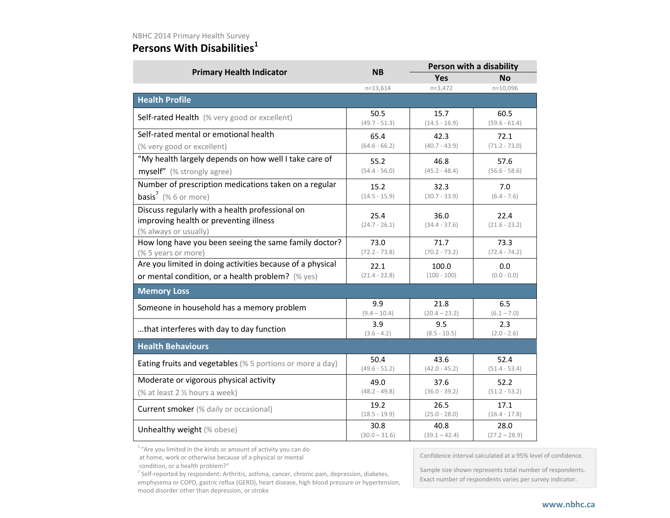#### **Persons With Disabilities<sup>1</sup>**

| <b>Primary Health Indicator</b>                                                                                    | <b>NB</b>               |                         | Person with a disability |  |
|--------------------------------------------------------------------------------------------------------------------|-------------------------|-------------------------|--------------------------|--|
|                                                                                                                    |                         | <b>Yes</b>              | Νo                       |  |
|                                                                                                                    | $n = 13,614$            | $n=3,472$               | $n=10,096$               |  |
| <b>Health Profile</b>                                                                                              |                         |                         |                          |  |
| Self-rated Health (% very good or excellent)                                                                       | 50.5<br>$(49.7 - 51.3)$ | 15.7<br>$(14.5 - 16.9)$ | 60.5<br>$(59.6 - 61.4)$  |  |
| Self-rated mental or emotional health                                                                              | 65.4                    | 42.3                    | 72.1                     |  |
| (% very good or excellent)                                                                                         | $(64.6 - 66.2)$         | $(40.7 - 43.9)$         | $(71.2 - 73.0)$          |  |
| "My health largely depends on how well I take care of                                                              | 55.2                    | 46.8                    | 57.6                     |  |
| myself" (% strongly agree)                                                                                         | $(54.4 - 56.0)$         | $(45.2 - 48.4)$         | $(56.6 - 58.6)$          |  |
| Number of prescription medications taken on a regular                                                              | 15.2                    | 32.3                    | 7.0                      |  |
| <b>basis<sup>7</sup></b> (% 6 or more)                                                                             | $(14.5 - 15.9)$         | $(30.7 - 33.9)$         | $(6.4 - 7.6)$            |  |
| Discuss regularly with a health professional on<br>improving health or preventing illness<br>(% always or usually) | 25.4<br>$(24.7 - 26.1)$ | 36.0<br>$(34.4 - 37.6)$ | 22.4<br>$(21.6 - 23.2)$  |  |
| How long have you been seeing the same family doctor?                                                              | 73.0                    | 71.7                    | 73.3                     |  |
| (% 5 years or more)                                                                                                | $(72.2 - 73.8)$         | $(70.2 - 73.2)$         | $(72.4 - 74.2)$          |  |
| Are you limited in doing activities because of a physical                                                          | 22.1                    | 100.0                   | 0.0                      |  |
| or mental condition, or a health problem? (% yes)                                                                  | $(21.4 - 22.8)$         | $(100 - 100)$           | $(0.0 - 0.0)$            |  |
| <b>Memory Loss</b>                                                                                                 |                         |                         |                          |  |
| Someone in household has a memory problem                                                                          | 9.9<br>$(9.4 - 10.4)$   | 21.8<br>$(20.4 - 23.2)$ | 6.5<br>$(6.1 - 7.0)$     |  |
| that interferes with day to day function                                                                           | 3.9<br>$(3.6 - 4.2)$    | 9.5<br>$(8.5 - 10.5)$   | 2.3<br>$(2.0 - 2.6)$     |  |
| <b>Health Behaviours</b>                                                                                           |                         |                         |                          |  |
| Eating fruits and vegetables (% 5 portions or more a day)                                                          | 50.4<br>$(49.6 - 51.2)$ | 43.6<br>$(42.0 - 45.2)$ | 52.4<br>$(51.4 - 53.4)$  |  |
| Moderate or vigorous physical activity                                                                             | 49.0                    | 37.6                    | 52.2                     |  |
| (% at least 2 1/2 hours a week)                                                                                    | $(48.2 - 49.8)$         | $(36.0 - 39.2)$         | $(51.2 - 53.2)$          |  |
| <b>Current smoker</b> (% daily or occasional)                                                                      | 19.2<br>$(18.5 - 19.9)$ | 26.5<br>$(25.0 - 28.0)$ | 17.1<br>$(16.4 - 17.8)$  |  |
| Unhealthy weight (% obese)                                                                                         | 30.8<br>$(30.0 - 31.6)$ | 40.8<br>$(39.1 - 42.4)$ | 28.0<br>$(27.2 - 28.9)$  |  |

 $1<sup>1</sup>$  "Are you limited in the kinds or amount of activity you can do

at home, work or otherwise because of a physical or mental

condition, or a health problem?"

 $7$  Self-reported by respondent: Arthritis, asthma, cancer, chronic pain, depression, diabetes, emphysema or COPD, gastric reflux (GERD), heart disease, high blood pressure or hypertension, mood disorder other than depression, or stroke

Confidence interval calculated at a 95% level of confidence.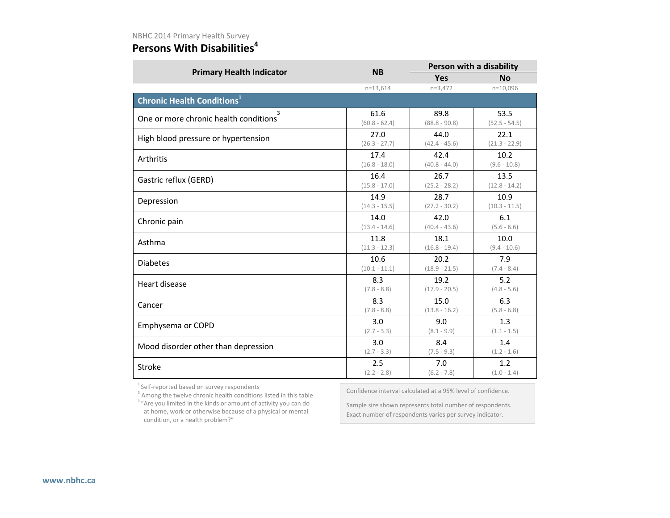# **Persons With Disabilities<sup>4</sup>**

| <b>Primary Health Indicator</b>              | <b>NB</b>       | Person with a disability |                 |  |
|----------------------------------------------|-----------------|--------------------------|-----------------|--|
|                                              |                 | Yes                      | <b>No</b>       |  |
|                                              | $n = 13,614$    | $n=3,472$                | $n=10,096$      |  |
| <b>Chronic Health Conditions<sup>1</sup></b> |                 |                          |                 |  |
| One or more chronic health conditions        | 61.6            | 89.8                     | 53.5            |  |
|                                              | $(60.8 - 62.4)$ | $(88.8 - 90.8)$          | $(52.5 - 54.5)$ |  |
| High blood pressure or hypertension          | 27.0            | 44.0                     | 22.1            |  |
|                                              | $(26.3 - 27.7)$ | $(42.4 - 45.6)$          | $(21.3 - 22.9)$ |  |
| Arthritis                                    | 17.4            | 42.4                     | 10.2            |  |
|                                              | $(16.8 - 18.0)$ | $(40.8 - 44.0)$          | $(9.6 - 10.8)$  |  |
| Gastric reflux (GERD)                        | 16.4            | 26.7                     | 13.5            |  |
|                                              | $(15.8 - 17.0)$ | $(25.2 - 28.2)$          | $(12.8 - 14.2)$ |  |
| Depression                                   | 14.9            | 28.7                     | 10.9            |  |
|                                              | $(14.3 - 15.5)$ | $(27.2 - 30.2)$          | $(10.3 - 11.5)$ |  |
| Chronic pain                                 | 14.0            | 42.0                     | 6.1             |  |
|                                              | $(13.4 - 14.6)$ | $(40.4 - 43.6)$          | $(5.6 - 6.6)$   |  |
| Asthma                                       | 11.8            | 18.1                     | 10.0            |  |
|                                              | $(11.3 - 12.3)$ | $(16.8 - 19.4)$          | $(9.4 - 10.6)$  |  |
| <b>Diabetes</b>                              | 10.6            | 20.2                     | 7.9             |  |
|                                              | $(10.1 - 11.1)$ | $(18.9 - 21.5)$          | $(7.4 - 8.4)$   |  |
| Heart disease                                | 8.3             | 19.2                     | 5.2             |  |
|                                              | $(7.8 - 8.8)$   | $(17.9 - 20.5)$          | $(4.8 - 5.6)$   |  |
| Cancer                                       | 8.3             | 15.0                     | 6.3             |  |
|                                              | $(7.8 - 8.8)$   | $(13.8 - 16.2)$          | $(5.8 - 6.8)$   |  |
| Emphysema or COPD                            | 3.0             | 9.0                      | 1.3             |  |
|                                              | $(2.7 - 3.3)$   | $(8.1 - 9.9)$            | $(1.1 - 1.5)$   |  |
| Mood disorder other than depression          | 3.0             | 8.4                      | 1.4             |  |
|                                              | $(2.7 - 3.3)$   | $(7.5 - 9.3)$            | $(1.2 - 1.6)$   |  |
| Stroke                                       | 2.5             | 7.0                      | 1.2             |  |
|                                              | $(2.2 - 2.8)$   | $(6.2 - 7.8)$            | $(1.0 - 1.4)$   |  |

<sup>1</sup> Self-reported based on survey respondents

<sup>3</sup> Among the twelve chronic health conditions listed in this table <sup>4</sup> "Are you limited in the kinds or amount of activity you can do at home, work or otherwise because of a physical or mental condition, or a health problem?"

Confidence interval calculated at a 95% level of confidence.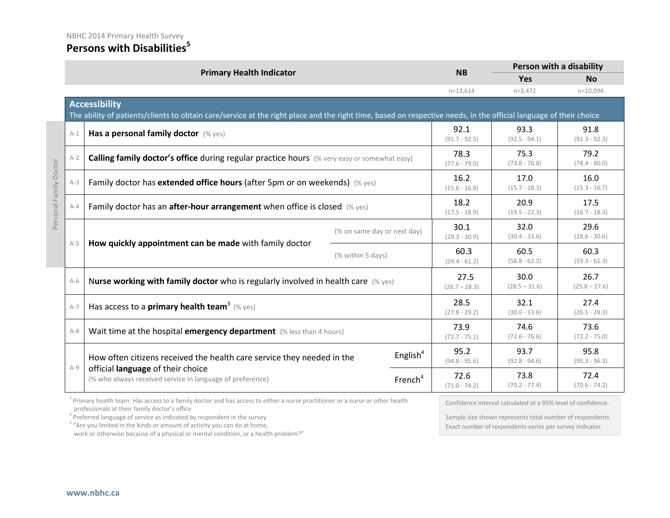#### **Persons with Disabilities<sup>5</sup>**

|                        |       | <b>Primary Health Indicator</b>                                                                                                                                                           |                             |                         | <b>NB</b>               | Person with a disability |                         |
|------------------------|-------|-------------------------------------------------------------------------------------------------------------------------------------------------------------------------------------------|-----------------------------|-------------------------|-------------------------|--------------------------|-------------------------|
|                        |       |                                                                                                                                                                                           |                             |                         |                         | <b>Yes</b>               | <b>No</b>               |
|                        |       |                                                                                                                                                                                           |                             |                         | $n=13,614$              | $n=3,472$                | $n=10,096$              |
|                        |       | <b>Accessibility</b><br>The ability of patients/clients to obtain care/service at the right place and the right time, based on respective needs, in the official language of their choice |                             |                         |                         |                          |                         |
|                        | $A-1$ | Has a personal family doctor (% yes)                                                                                                                                                      |                             | 92.1<br>$(91.7 - 92.5)$ | 93.3<br>$(92.5 - 94.1)$ | 91.8<br>$(91.3 - 92.3)$  |                         |
|                        | $A-2$ | Calling family doctor's office during regular practice hours (% very easy or somewhat easy)                                                                                               |                             |                         | 78.3<br>$(77.6 - 79.0)$ | 75.3<br>$(73.8 - 76.8)$  | 79.2<br>$(78.4 - 80.0)$ |
| Personal Family Doctor | $A-3$ | Family doctor has extended office hours (after 5pm or on weekends) (% yes)                                                                                                                |                             |                         | 16.2<br>$(15.6 - 16.8)$ | 17.0<br>$(15.7 - 18.3)$  | 16.0<br>$(15.3 - 16.7)$ |
|                        | $A-4$ | Family doctor has an after-hour arrangement when office is closed (% yes)                                                                                                                 |                             | 18.2<br>$(17.5 - 18.9)$ | 20.9<br>$(19.5 - 22.3)$ | 17.5<br>$(16.7 - 18.3)$  |                         |
|                        | $A-5$ |                                                                                                                                                                                           | (% on same day or next day) |                         | 30.1<br>$(29.3 - 30.9)$ | 32.0<br>$(30.4 - 33.6)$  | 29.6<br>$(28.6 - 30.6)$ |
|                        |       | How quickly appointment can be made with family doctor<br>(% within 5 days)                                                                                                               |                             |                         | 60.3<br>$(59.4 - 61.2)$ | 60.5<br>$(58.8 - 62.2)$  | 60.3<br>$(59.3 - 61.3)$ |
|                        | $A-6$ | Nurse working with family doctor who is regularly involved in health care $(\%$ yes)                                                                                                      |                             |                         | 27.5<br>$(26.7 - 28.3)$ | 30.0<br>$(28.5 - 31.6)$  | 26.7<br>$(25.8 - 27.6)$ |
|                        | $A-7$ | Has access to a <b>primary health team</b> <sup>3</sup> (% yes)                                                                                                                           |                             |                         | 28.5<br>$(27.8 - 29.2)$ | 32.1<br>$(30.6 - 33.6)$  | 27.4<br>$(26.5 - 28.3)$ |
|                        | $A-8$ | Wait time at the hospital emergency department (% less than 4 hours)                                                                                                                      |                             | 73.9<br>$(72.7 - 75.1)$ | 74.6<br>$(72.6 - 76.6)$ | 73.6<br>$(72.2 - 75.0)$  |                         |
|                        |       | How often citizens received the health care service they needed in the<br>official language of their choice<br>(% who always received service in language of preference)                  |                             | English <sup>4</sup>    | 95.2<br>$(94.8 - 95.6)$ | 93.7<br>$(92.8 - 94.6)$  | 95.8<br>$(95.3 - 96.3)$ |
|                        | $A-9$ |                                                                                                                                                                                           |                             | French <sup>4</sup>     | 72.6<br>$(71.0 - 74.2)$ | 73.8<br>$(70.2 - 77.4)$  | 72.4<br>$(70.6 - 74.2)$ |

<sup>3</sup> Primary health team: Has access to a family doctor and has access to either a nurse practitioner or a nurse or other health professionals at their family doctor's office

<sup>4</sup> Preferred language of service as indicated by respondent in the survey

<sup>5</sup> "Are you limited in the kinds or amount of activity you can do at home,

work or otherwise because of a physical or mental condition, or a health problem?"

Confidence interval calculated at a 95% level of confidence.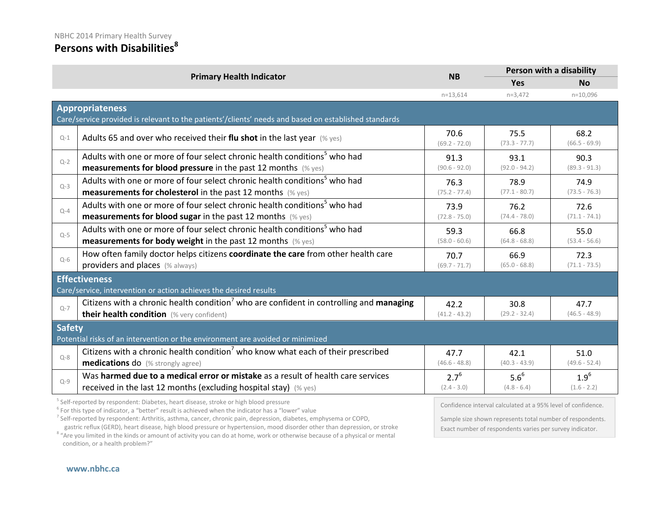# **Persons with Disabilities<sup>8</sup>**

|         | <b>Primary Health Indicator</b>                                                                      | <b>NB</b>               | Person with a disability |                         |  |
|---------|------------------------------------------------------------------------------------------------------|-------------------------|--------------------------|-------------------------|--|
|         |                                                                                                      |                         | <b>Yes</b>               | <b>No</b>               |  |
|         |                                                                                                      | $n=13,614$              | $n=3,472$                | $n=10,096$              |  |
|         | <b>Appropriateness</b>                                                                               |                         |                          |                         |  |
|         | Care/service provided is relevant to the patients'/clients' needs and based on established standards |                         |                          |                         |  |
| $Q-1$   | Adults 65 and over who received their flu shot in the last year $(\%$ yes)                           | 70.6<br>$(69.2 - 72.0)$ | 75.5<br>$(73.3 - 77.7)$  | 68.2<br>$(66.5 - 69.9)$ |  |
| $Q-2$   | Adults with one or more of four select chronic health conditions <sup>5</sup> who had                | 91.3                    | 93.1                     | 90.3                    |  |
|         | <b>measurements for blood pressure</b> in the past 12 months $(\%$ yes)                              | $(90.6 - 92.0)$         | $(92.0 - 94.2)$          | $(89.3 - 91.3)$         |  |
| $Q-3$   | Adults with one or more of four select chronic health conditions <sup>5</sup> who had                | 76.3                    | 78.9                     | 74.9                    |  |
|         | <b>measurements for cholesterol</b> in the past 12 months (% yes)                                    | $(75.2 - 77.4)$         | $(77.1 - 80.7)$          | $(73.5 - 76.3)$         |  |
| $Q-4$   | Adults with one or more of four select chronic health conditions <sup>5</sup> who had                | 73.9                    | 76.2                     | 72.6                    |  |
|         | <b>measurements for blood sugar</b> in the past 12 months (% yes)                                    | $(72.8 - 75.0)$         | $(74.4 - 78.0)$          | $(71.1 - 74.1)$         |  |
| $Q-5$   | Adults with one or more of four select chronic health conditions <sup>5</sup> who had                | 59.3                    | 66.8                     | 55.0                    |  |
|         | <b>measurements for body weight</b> in the past 12 months $(\%$ yes)                                 | $(58.0 - 60.6)$         | $(64.8 - 68.8)$          | $(53.4 - 56.6)$         |  |
| $Q-6$   | How often family doctor helps citizens coordinate the care from other health care                    | 70.7                    | 66.9                     | 72.3                    |  |
|         | providers and places (% always)                                                                      | $(69.7 - 71.7)$         | $(65.0 - 68.8)$          | $(71.1 - 73.5)$         |  |
|         | <b>Effectiveness</b>                                                                                 |                         |                          |                         |  |
|         | Care/service, intervention or action achieves the desired results                                    |                         |                          |                         |  |
| $Q-7$   | Citizens with a chronic health condition <sup>7</sup> who are confident in controlling and managing  | 42.2                    | 30.8                     | 47.7                    |  |
|         | their health condition (% very confident)                                                            | $(41.2 - 43.2)$         | $(29.2 - 32.4)$          | $(46.5 - 48.9)$         |  |
|         | <b>Safety</b>                                                                                        |                         |                          |                         |  |
|         | Potential risks of an intervention or the environment are avoided or minimized                       |                         |                          |                         |  |
| $Q - 8$ | Citizens with a chronic health condition <sup>7</sup> who know what each of their prescribed         | 47.7                    | 42.1                     | 51.0                    |  |
|         | <b>medications do</b> (% strongly agree)                                                             | $(46.6 - 48.8)$         | $(40.3 - 43.9)$          | $(49.6 - 52.4)$         |  |
| $Q - 9$ | Was harmed due to a medical error or mistake as a result of health care services                     | $2.7^{6}$               | $5.6^6$                  | $1.9^{6}$               |  |
|         | received in the last 12 months (excluding hospital stay) $(\%$ yes)                                  | $(2.4 - 3.0)$           | $(4.8 - 6.4)$            | $(1.6 - 2.2)$           |  |

<sup>5</sup> Self-reported by respondent: Diabetes, heart disease, stroke or high blood pressure

<sup>6</sup> For this type of indicator, a "better" result is achieved when the indicator has a "lower" value

<sup>7</sup> Self-reported by respondent: Arthritis, asthma, cancer, chronic pain, depression, diabetes, emphysema or COPD,<br>gastric reflux (GERD), heart disease, high blood pressure or hypertension, mood disorder other than depress

<sup>8</sup> "Are you limited in the kinds or amount of activity you can do at home, work or otherwise because of a physical or mental condition, or a health problem?"

Confidence interval calculated at a 95% level of confidence.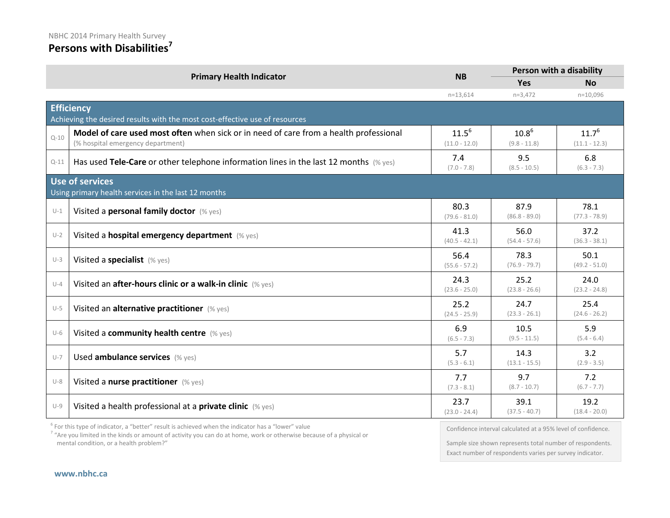### **Persons with Disabilities<sup>7</sup>**

|          | <b>Primary Health Indicator</b>                                                                                            | <b>NB</b>                     | Person with a disability     |                               |
|----------|----------------------------------------------------------------------------------------------------------------------------|-------------------------------|------------------------------|-------------------------------|
|          |                                                                                                                            |                               | <b>Yes</b>                   | <b>No</b>                     |
|          |                                                                                                                            | $n=13,614$                    | $n=3,472$                    | $n=10,096$                    |
|          | <b>Efficiency</b>                                                                                                          |                               |                              |                               |
|          | Achieving the desired results with the most cost-effective use of resources                                                |                               |                              |                               |
| $Q - 10$ | Model of care used most often when sick or in need of care from a health professional<br>(% hospital emergency department) | $11.5^{6}$<br>$(11.0 - 12.0)$ | $10.8^{6}$<br>$(9.8 - 11.8)$ | $11.7^{6}$<br>$(11.1 - 12.3)$ |
| $Q - 11$ | Has used Tele-Care or other telephone information lines in the last 12 months $(\%$ yes)                                   | 7.4<br>$(7.0 - 7.8)$          | 9.5<br>$(8.5 - 10.5)$        | 6.8<br>$(6.3 - 7.3)$          |
|          | Use of services                                                                                                            |                               |                              |                               |
|          | Using primary health services in the last 12 months                                                                        |                               |                              |                               |
| $U-1$    | Visited a personal family doctor (% yes)                                                                                   | 80.3<br>$(79.6 - 81.0)$       | 87.9<br>$(86.8 - 89.0)$      | 78.1<br>$(77.3 - 78.9)$       |
| $U-2$    | Visited a hospital emergency department (% yes)                                                                            | 41.3<br>$(40.5 - 42.1)$       | 56.0<br>$(54.4 - 57.6)$      | 37.2<br>$(36.3 - 38.1)$       |
| $U-3$    | Visited a specialist (% yes)                                                                                               | 56.4<br>$(55.6 - 57.2)$       | 78.3<br>$(76.9 - 79.7)$      | 50.1<br>$(49.2 - 51.0)$       |
| $U-4$    | Visited an after-hours clinic or a walk-in clinic (% yes)                                                                  | 24.3<br>$(23.6 - 25.0)$       | 25.2<br>$(23.8 - 26.6)$      | 24.0<br>$(23.2 - 24.8)$       |
| $U-5$    | Visited an alternative practitioner (% yes)                                                                                | 25.2<br>$(24.5 - 25.9)$       | 24.7<br>$(23.3 - 26.1)$      | 25.4<br>$(24.6 - 26.2)$       |
| $U-6$    | Visited a community health centre (% yes)                                                                                  | 6.9<br>$(6.5 - 7.3)$          | 10.5<br>$(9.5 - 11.5)$       | 5.9<br>$(5.4 - 6.4)$          |
| $U-7$    | Used ambulance services (% yes)                                                                                            | 5.7<br>$(5.3 - 6.1)$          | 14.3<br>$(13.1 - 15.5)$      | 3.2<br>$(2.9 - 3.5)$          |
| $U-8$    | Visited a nurse practitioner (% yes)                                                                                       | 7.7<br>$(7.3 - 8.1)$          | 9.7<br>$(8.7 - 10.7)$        | 7.2<br>$(6.7 - 7.7)$          |
| $U-9$    | Visited a health professional at a private clinic (% yes)                                                                  | 23.7<br>$(23.0 - 24.4)$       | 39.1<br>$(37.5 - 40.7)$      | 19.2<br>$(18.4 - 20.0)$       |

 $^6$  For this type of indicator, a "better" result is achieved when the indicator has a "lower" value

<sup>7</sup> "Are you limited in the kinds or amount of activity you can do at home, work or otherwise because of a physical or mental condition, or a health problem?"

Confidence interval calculated at a 95% level of confidence.